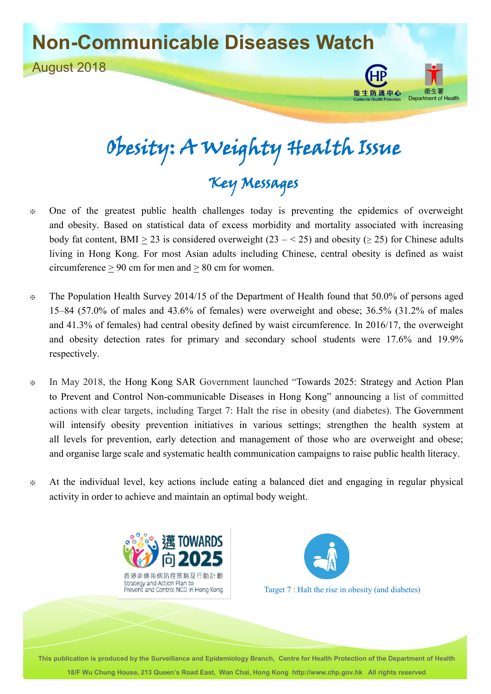## **Non-Communicable Diseases Watch**



# Obesity: A Weighty Health Issue Key Messages

**衛生防護中心** 

Department of Health

- ※ One of the greatest public health challenges today is preventing the epidemics of overweight and obesity. Based on statistical data of excess morbidity and mortality associated with increasing body fat content, BMI > 23 is considered overweight  $(23 - < 25)$  and obesity ( $\geq$  25) for Chinese adults living in Hong Kong. For most Asian adults including Chinese, central obesity is defined as waist circumference > 90 cm for men and > 80 cm for women.
- ※ The Population Health Survey 2014/15 of the Department of Health found that 50.0% of persons aged 15–84 (57.0% of males and 43.6% of females) were overweight and obese; 36.5% (31.2% of males and 41.3% of females) had central obesity defined by waist circumference. In 2016/17, the overweight and obesity detection rates for primary and secondary school students were 17.6% and 19.9% respectively.
- ※ In May 2018, the Hong Kong SAR Government launched ―Towards 2025: Strategy and Action Plan to Prevent and Control Non-communicable Diseases in Hong Kong" announcing a list of committed actions with clear targets, including Target 7: Halt the rise in obesity (and diabetes). The Government will intensify obesity prevention initiatives in various settings; strengthen the health system at all levels for prevention, early detection and management of those who are overweight and obese; and organise large scale and systematic health communication campaigns to raise public health literacy.
- ※ At the individual level, key actions include eating a balanced diet and engaging in regular physical activity in order to achieve and maintain an optimal body weight.





Target 7 : Halt the rise in obesity (and diabetes)

**This publication is produced by the Surveillance and Epidemiology Branch, Centre for Health Protection of the Department of Health 18/F Wu Chung House, 213 Queen's Road East, Wan Chai, Hong Kong http://www.chp.gov.hk All rights reserved**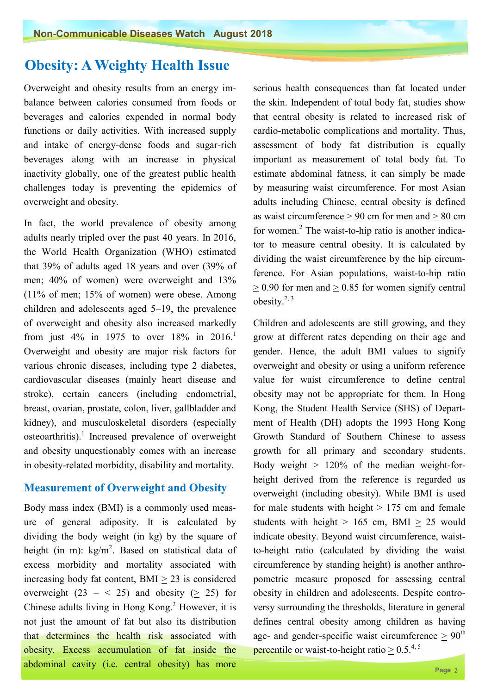### **Obesity: A Weighty Health Issue**

Overweight and obesity results from an energy imbalance between calories consumed from foods or beverages and calories expended in normal body functions or daily activities. With increased supply and intake of energy-dense foods and sugar-rich beverages along with an increase in physical inactivity globally, one of the greatest public health challenges today is preventing the epidemics of overweight and obesity.

In fact, the world prevalence of obesity among adults nearly tripled over the past 40 years. In 2016, the World Health Organization (WHO) estimated that 39% of adults aged 18 years and over (39% of men; 40% of women) were overweight and 13% (11% of men; 15% of women) were obese. Among children and adolescents aged 5–19, the prevalence of overweight and obesity also increased markedly from just 4% in 1975 to over  $18\%$  in 2016.<sup>1</sup> Overweight and obesity are major risk factors for various chronic diseases, including type 2 diabetes, cardiovascular diseases (mainly heart disease and stroke), certain cancers (including endometrial, breast, ovarian, prostate, colon, liver, gallbladder and kidney), and musculoskeletal disorders (especially osteoarthritis). $1$  Increased prevalence of overweight and obesity unquestionably comes with an increase in obesity-related morbidity, disability and mortality.

#### **Measurement of Overweight and Obesity**

Body mass index (BMI) is a commonly used measure of general adiposity. It is calculated by dividing the body weight (in kg) by the square of height (in m):  $\text{kg/m}^2$ . Based on statistical data of excess morbidity and mortality associated with increasing body fat content,  $BMI > 23$  is considered overweight  $(23 - < 25)$  and obesity  $(> 25)$  for Chinese adults living in Hong Kong.<sup>2</sup> However, it is not just the amount of fat but also its distribution that determines the health risk associated with obesity. Excess accumulation of fat inside the abdominal cavity (i.e. central obesity) has more

serious health consequences than fat located under the skin. Independent of total body fat, studies show that central obesity is related to increased risk of cardio-metabolic complications and mortality. Thus, assessment of body fat distribution is equally important as measurement of total body fat. To estimate abdominal fatness, it can simply be made by measuring waist circumference. For most Asian adults including Chinese, central obesity is defined as waist circumference  $> 90$  cm for men and  $> 80$  cm for women.<sup>2</sup> The waist-to-hip ratio is another indicator to measure central obesity. It is calculated by dividing the waist circumference by the hip circumference. For Asian populations, waist-to-hip ratio  $> 0.90$  for men and  $> 0.85$  for women signify central obesity. $2, 3$ 

Children and adolescents are still growing, and they grow at different rates depending on their age and gender. Hence, the adult BMI values to signify overweight and obesity or using a uniform reference value for waist circumference to define central obesity may not be appropriate for them. In Hong Kong, the Student Health Service (SHS) of Department of Health (DH) adopts the 1993 Hong Kong Growth Standard of Southern Chinese to assess growth for all primary and secondary students. Body weight  $> 120\%$  of the median weight-forheight derived from the reference is regarded as overweight (including obesity). While BMI is used for male students with height  $> 175$  cm and female students with height  $> 165$  cm, BMI  $> 25$  would indicate obesity. Beyond waist circumference, waist to-height ratio (calculated by dividing the waist circumference by standing height) is another anthropometric measure proposed for assessing central obesity in children and adolescents. Despite controversy surrounding the thresholds, literature in general defines central obesity among children as having age- and gender-specific waist circumference  $> 90<sup>th</sup>$ **percentile** or waist-to-height ratio  $> 0.5^{4,5}$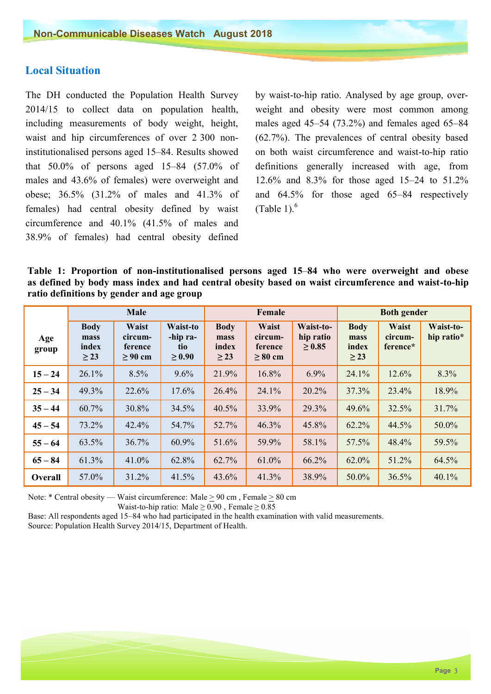#### **Local Situation**

The DH conducted the Population Health Survey 2014/15 to collect data on population health, including measurements of body weight, height, waist and hip circumferences of over 2 300 noninstitutionalised persons aged 15–84. Results showed that 50.0% of persons aged 15–84 (57.0% of males and 43.6% of females) were overweight and obese; 36.5% (31.2% of males and 41.3% of females) had central obesity defined by waist circumference and 40.1% (41.5% of males and 38.9% of females) had central obesity defined

by waist-to-hip ratio. Analysed by age group, over weight and obesity were most common among males aged 45–54 (73.2%) and females aged 65–84 (62.7%). The prevalences of central obesity based on both waist circumference and waist-to-hip ratio definitions generally increased with age, from 12.6% and 8.3% for those aged 15–24 to 51.2% and 64.5% for those aged 65–84 respectively (Table 1). $<sup>6</sup>$ </sup>

**Table 1: Proportion of non-institutionalised persons aged 15**–**84 who were overweight and obese as defined by body mass index and had central obesity based on waist circumference and waist-to-hip ratio definitions by gender and age group** 

|              | Male                                      |                                             |                                            | Female                                    |                                                    |                                       | <b>Both gender</b>                        |                                     |                         |
|--------------|-------------------------------------------|---------------------------------------------|--------------------------------------------|-------------------------------------------|----------------------------------------------------|---------------------------------------|-------------------------------------------|-------------------------------------|-------------------------|
| Age<br>group | <b>Body</b><br>mass<br>index<br>$\geq$ 23 | Waist<br>circum-<br>ference<br>$\geq 90$ cm | Waist-to<br>-hip ra-<br>tio<br>$\geq 0.90$ | <b>Body</b><br>mass<br>index<br>$\geq$ 23 | <b>Waist</b><br>circum-<br>ference<br>$\geq 80$ cm | Waist-to-<br>hip ratio<br>$\geq 0.85$ | <b>Body</b><br>mass<br>index<br>$\geq$ 23 | <b>Waist</b><br>circum-<br>ference* | Waist-to-<br>hip ratio* |
| $15 - 24$    | 26.1%                                     | 8.5%                                        | 9.6%                                       | 21.9%                                     | 16.8%                                              | 6.9%                                  | 24.1%                                     | 12.6%                               | 8.3%                    |
| $25 - 34$    | 49.3%                                     | 22.6%                                       | 17.6%                                      | 26.4%                                     | 24.1%                                              | 20.2%                                 | 37.3%                                     | 23.4%                               | 18.9%                   |
| $35 - 44$    | 60.7%                                     | 30.8%                                       | 34.5%                                      | 40.5%                                     | 33.9%                                              | 29.3%                                 | 49.6%                                     | 32.5%                               | 31.7%                   |
| $45 - 54$    | 73.2%                                     | 42.4%                                       | 54.7%                                      | 52.7%                                     | 46.3%                                              | 45.8%                                 | 62.2%                                     | 44.5%                               | 50.0%                   |
| $55 - 64$    | 63.5%                                     | 36.7%                                       | 60.9%                                      | 51.6%                                     | 59.9%                                              | 58.1%                                 | 57.5%                                     | 48.4%                               | 59.5%                   |
| $65 - 84$    | 61.3%                                     | 41.0%                                       | 62.8%                                      | 62.7%                                     | 61.0%                                              | 66.2%                                 | 62.0%                                     | 51.2%                               | 64.5%                   |
| Overall      | 57.0%                                     | 31.2%                                       | 41.5%                                      | 43.6%                                     | 41.3%                                              | 38.9%                                 | 50.0%                                     | 36.5%                               | 40.1%                   |

Note: \* Central obesity — Waist circumference: Male > 90 cm , Female > 80 cm

Waist-to-hip ratio: Male  $\geq 0.90$ , Female  $\geq 0.85$ 

Base: All respondents aged 15–84 who had participated in the health examination with valid measurements. Source: Population Health Survey 2014/15, Department of Health.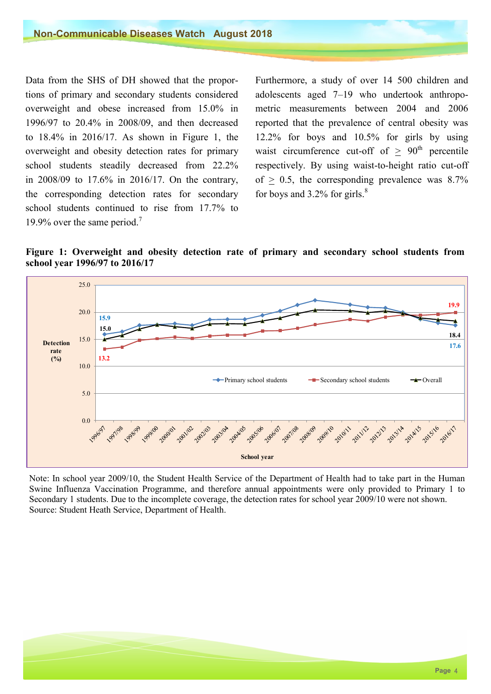Data from the SHS of DH showed that the proportions of primary and secondary students considered overweight and obese increased from 15.0% in 1996/97 to 20.4% in 2008/09, and then decreased to 18.4% in 2016/17. As shown in Figure 1, the overweight and obesity detection rates for primary school students steadily decreased from 22.2% in 2008/09 to 17.6% in 2016/17. On the contrary, the corresponding detection rates for secondary school students continued to rise from 17.7% to 19.9% over the same period.<sup>7</sup>

Furthermore, a study of over 14 500 children and adolescents aged 7–19 who undertook anthropometric measurements between 2004 and 2006 reported that the prevalence of central obesity was 12.2% for boys and 10.5% for girls by using waist circumference cut-off of  $> 90<sup>th</sup>$  percentile respectively. By using waist-to-height ratio cut-off of  $> 0.5$ , the corresponding prevalence was 8.7% for boys and  $3.2\%$  for girls.<sup>8</sup>

**Figure 1: Overweight and obesity detection rate of primary and secondary school students from school year 1996/97 to 2016/17**



Note: In school year 2009/10, the Student Health Service of the Department of Health had to take part in the Human Swine Influenza Vaccination Programme, and therefore annual appointments were only provided to Primary 1 to Secondary 1 students. Due to the incomplete coverage, the detection rates for school year 2009/10 were not shown. Source: Student Heath Service, Department of Health.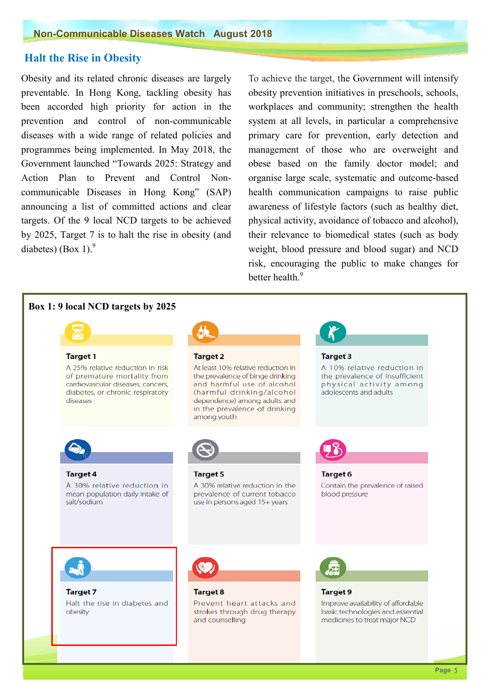#### **Halt the Rise in Obesity**

 been accorded high priority for action in the Obesity and its related chronic diseases are largely preventable. In Hong Kong, tackling obesity has prevention and control of non-communicable diseases with a wide range of related policies and programmes being implemented. In May 2018, the Government launched "Towards 2025: Strategy and Action Plan to Prevent and Control Noncommunicable Diseases in Hong Kong" (SAP) announcing a list of committed actions and clear targets. Of the 9 local NCD targets to be achieved by 2025, Target 7 is to halt the rise in obesity (and diabetes) (Box 1). $9$ 

 management of those who are overweight and obese based on the family doctor model; and To achieve the target, the Government will intensify obesity prevention initiatives in preschools, schools, workplaces and community; strengthen the health system at all levels, in particular a comprehensive primary care for prevention, early detection and organise large scale, systematic and outcome-based health communication campaigns to raise public awareness of lifestyle factors (such as healthy diet, physical activity, avoidance of tobacco and alcohol), their relevance to biomedical states (such as body weight, blood pressure and blood sugar) and NCD risk, encouraging the public to make changes for better health<sup>9</sup>

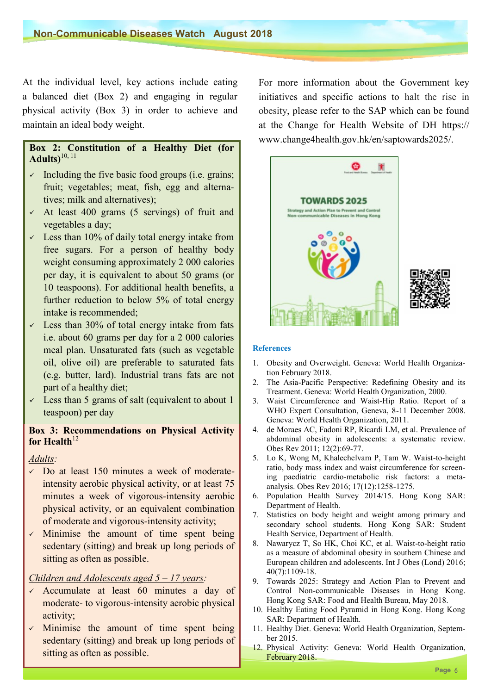At the individual level, key actions include eating a balanced diet (Box 2) and engaging in regular physical activity (Box 3) in order to achieve and maintain an ideal body weight.

#### **Box 2: Constitution of a Healthy Diet (for Adults)**10, 11

- $\checkmark$  Including the five basic food groups (i.e. grains; fruit; vegetables; meat, fish, egg and alternatives; milk and alternatives);
- $\sim$  At least 400 grams (5 servings) of fruit and vegetables a day;
- $\sim$  Less than 10% of daily total energy intake from free sugars. For a person of healthy body weight consuming approximately 2 000 calories per day, it is equivalent to about 50 grams (or 10 teaspoons). For additional health benefits, a further reduction to below 5% of total energy intake is recommended;
- $\sim$  Less than 30% of total energy intake from fats i.e. about 60 grams per day for a 2 000 calories meal plan. Unsaturated fats (such as vegetable oil, olive oil) are preferable to saturated fats (e.g. butter, lard). Industrial trans fats are not part of a healthy diet;
- $\checkmark$  Less than 5 grams of salt (equivalent to about 1 teaspoon) per day

#### **Box 3: Recommendations on Physical Activity for Health** $^{12}$

#### *Adults:*

- $\sim$  Do at least 150 minutes a week of moderateintensity aerobic physical activity, or at least 75 minutes a week of vigorous-intensity aerobic physical activity, or an equivalent combination of moderate and vigorous-intensity activity;
- $\checkmark$  Minimise the amount of time spent being sedentary (sitting) and break up long periods of sitting as often as possible.

#### *Children and Adolescents aged 5* – *17 years:*

- $\checkmark$ Accumulate at least 60 minutes a day of moderate- to vigorous-intensity aerobic physical activity;
- $\checkmark$ Minimise the amount of time spent being sedentary (sitting) and break up long periods of sitting as often as possible.

 For more information about the Government key initiatives and specific actions to halt the rise in obesity, please refer to the SAP which can be found at the Change for Health Website of DH [https://](https://www.change4health.gov.hk/en/saptowards2025/) [www.change4health.gov.hk/en/saptowards2025/.](https://www.change4health.gov.hk/en/saptowards2025/)



#### **References**

- 1. Obesity and Overweight. Geneva: World Health Organization February 2018.
- 2. The Asia-Pacific Perspective: Redefining Obesity and its Treatment. Geneva: World Health Organization, 2000.
- 3. Waist Circumference and Waist-Hip Ratio. Report of a WHO Expert Consultation, Geneva, 8-11 December 2008. Geneva: World Health Organization, 2011.
- 4. de Moraes AC, Fadoni RP, Ricardi LM, et al. Prevalence of abdominal obesity in adolescents: a systematic review. Obes Rev 2011; 12(2):69-77.
- 5. Lo K, Wong M, Khalechelvam P, Tam W. Waist-to-height ratio, body mass index and waist circumference for screening paediatric cardio-metabolic risk factors: a metaanalysis. Obes Rev 2016; 17(12):1258-1275.
- 6. Population Health Survey 2014/15. Hong Kong SAR: Department of Health.
- 7. Statistics on body height and weight among primary and secondary school students. Hong Kong SAR: Student Health Service, Department of Health.
- 8. Nawarycz T, So HK, Choi KC, et al. Waist-to-height ratio as a measure of abdominal obesity in southern Chinese and European children and adolescents. Int J Obes (Lond) 2016; 40(7):1109-18.
- 9. Towards 2025: Strategy and Action Plan to Prevent and Control Non-communicable Diseases in Hong Kong. Hong Kong SAR: Food and Health Bureau, May 2018.
- 10. Healthy Eating Food Pyramid in Hong Kong. Hong Kong SAR: Department of Health.
- 11. Healthy Diet. Geneva: World Health Organization, September 2015.
- 12. Physical Activity: Geneva: World Health Organization, February 2018.